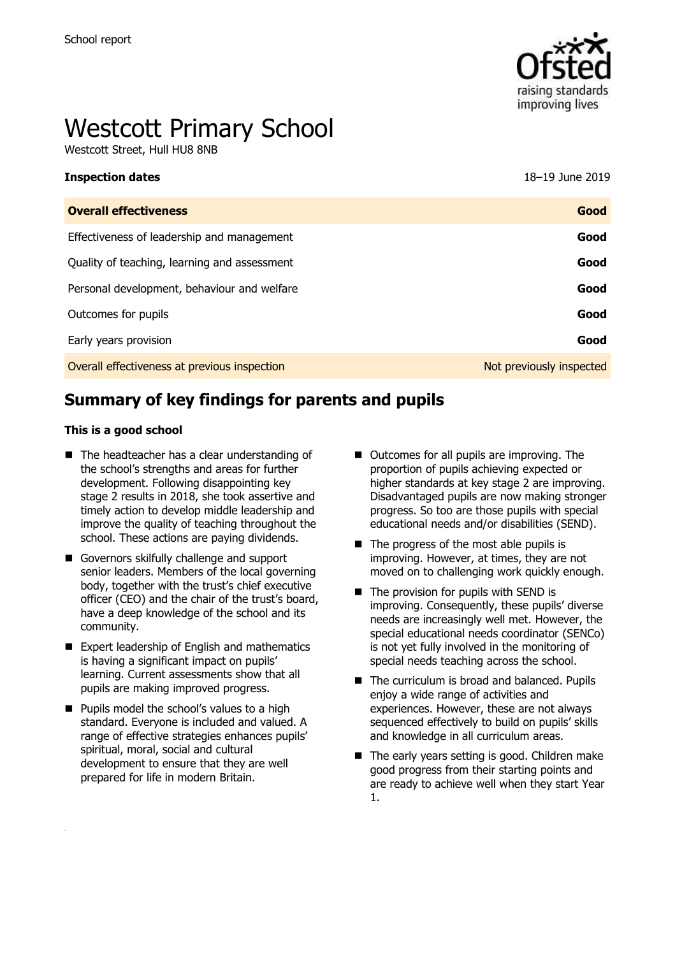

# Westcott Primary School

Westcott Street, Hull HU8 8NB

| <b>Inspection dates</b>                      | 18-19 June 2019          |
|----------------------------------------------|--------------------------|
| <b>Overall effectiveness</b>                 | Good                     |
| Effectiveness of leadership and management   | Good                     |
| Quality of teaching, learning and assessment | Good                     |
| Personal development, behaviour and welfare  | Good                     |
| Outcomes for pupils                          | Good                     |
| Early years provision                        | Good                     |
| Overall effectiveness at previous inspection | Not previously inspected |

# **Summary of key findings for parents and pupils**

#### **This is a good school**

- The headteacher has a clear understanding of the school's strengths and areas for further development. Following disappointing key stage 2 results in 2018, she took assertive and timely action to develop middle leadership and improve the quality of teaching throughout the school. These actions are paying dividends.
- Governors skilfully challenge and support senior leaders. Members of the local governing body, together with the trust's chief executive officer (CEO) and the chair of the trust's board, have a deep knowledge of the school and its community.
- Expert leadership of English and mathematics is having a significant impact on pupils' learning. Current assessments show that all pupils are making improved progress.
- **Pupils model the school's values to a high** standard. Everyone is included and valued. A range of effective strategies enhances pupils' spiritual, moral, social and cultural development to ensure that they are well prepared for life in modern Britain.
- Outcomes for all pupils are improving. The proportion of pupils achieving expected or higher standards at key stage 2 are improving. Disadvantaged pupils are now making stronger progress. So too are those pupils with special educational needs and/or disabilities (SEND).
- $\blacksquare$  The progress of the most able pupils is improving. However, at times, they are not moved on to challenging work quickly enough.
- $\blacksquare$  The provision for pupils with SEND is improving. Consequently, these pupils' diverse needs are increasingly well met. However, the special educational needs coordinator (SENCo) is not yet fully involved in the monitoring of special needs teaching across the school.
- The curriculum is broad and balanced. Pupils enjoy a wide range of activities and experiences. However, these are not always sequenced effectively to build on pupils' skills and knowledge in all curriculum areas.
- The early years setting is good. Children make good progress from their starting points and are ready to achieve well when they start Year 1.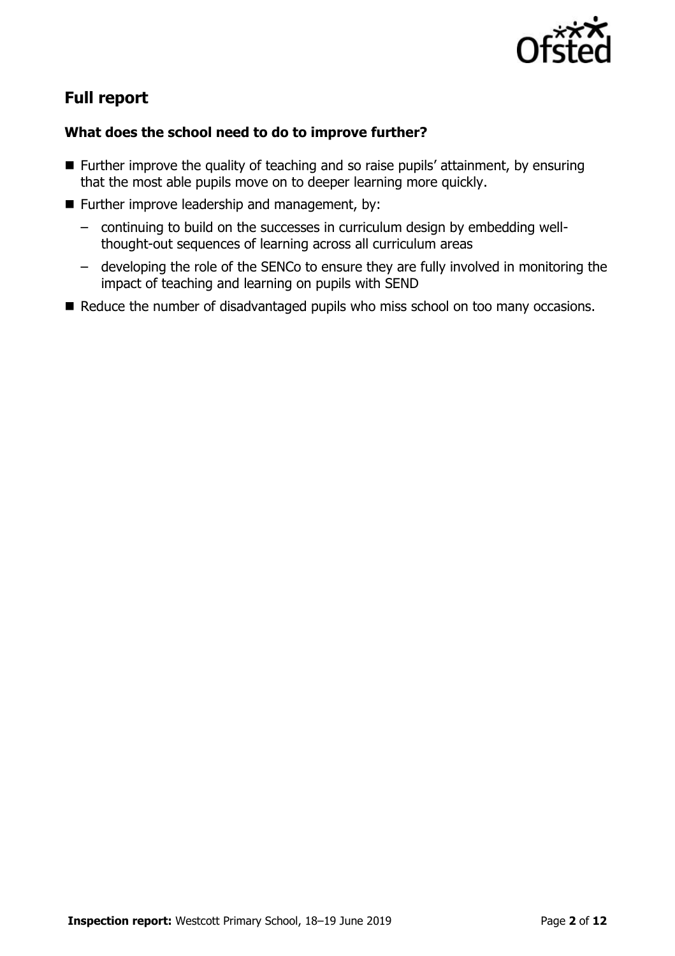

# **Full report**

### **What does the school need to do to improve further?**

- Further improve the quality of teaching and so raise pupils' attainment, by ensuring that the most able pupils move on to deeper learning more quickly.
- Further improve leadership and management, by:
	- continuing to build on the successes in curriculum design by embedding wellthought-out sequences of learning across all curriculum areas
	- developing the role of the SENCo to ensure they are fully involved in monitoring the impact of teaching and learning on pupils with SEND
- Reduce the number of disadvantaged pupils who miss school on too many occasions.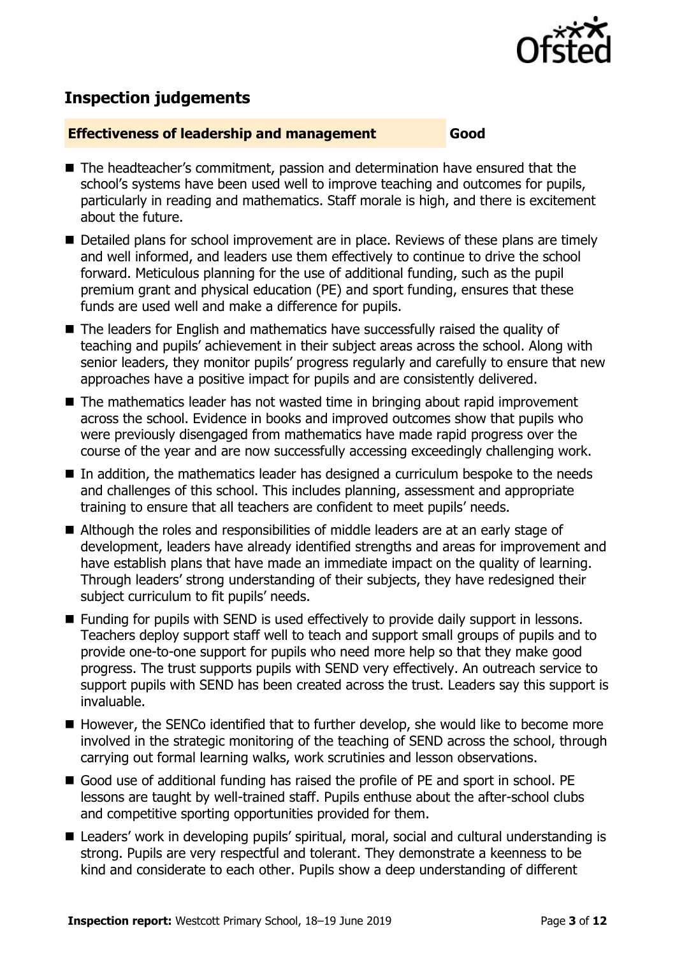

# **Inspection judgements**

#### **Effectiveness of leadership and management Good**

- The headteacher's commitment, passion and determination have ensured that the school's systems have been used well to improve teaching and outcomes for pupils, particularly in reading and mathematics. Staff morale is high, and there is excitement about the future.
- Detailed plans for school improvement are in place. Reviews of these plans are timely and well informed, and leaders use them effectively to continue to drive the school forward. Meticulous planning for the use of additional funding, such as the pupil premium grant and physical education (PE) and sport funding, ensures that these funds are used well and make a difference for pupils.
- The leaders for English and mathematics have successfully raised the quality of teaching and pupils' achievement in their subject areas across the school. Along with senior leaders, they monitor pupils' progress regularly and carefully to ensure that new approaches have a positive impact for pupils and are consistently delivered.
- The mathematics leader has not wasted time in bringing about rapid improvement across the school. Evidence in books and improved outcomes show that pupils who were previously disengaged from mathematics have made rapid progress over the course of the year and are now successfully accessing exceedingly challenging work.
- In addition, the mathematics leader has designed a curriculum bespoke to the needs and challenges of this school. This includes planning, assessment and appropriate training to ensure that all teachers are confident to meet pupils' needs.
- Although the roles and responsibilities of middle leaders are at an early stage of development, leaders have already identified strengths and areas for improvement and have establish plans that have made an immediate impact on the quality of learning. Through leaders' strong understanding of their subjects, they have redesigned their subject curriculum to fit pupils' needs.
- Funding for pupils with SEND is used effectively to provide daily support in lessons. Teachers deploy support staff well to teach and support small groups of pupils and to provide one-to-one support for pupils who need more help so that they make good progress. The trust supports pupils with SEND very effectively. An outreach service to support pupils with SEND has been created across the trust. Leaders say this support is invaluable.
- However, the SENCo identified that to further develop, she would like to become more involved in the strategic monitoring of the teaching of SEND across the school, through carrying out formal learning walks, work scrutinies and lesson observations.
- Good use of additional funding has raised the profile of PE and sport in school. PE lessons are taught by well-trained staff. Pupils enthuse about the after-school clubs and competitive sporting opportunities provided for them.
- Leaders' work in developing pupils' spiritual, moral, social and cultural understanding is strong. Pupils are very respectful and tolerant. They demonstrate a keenness to be kind and considerate to each other. Pupils show a deep understanding of different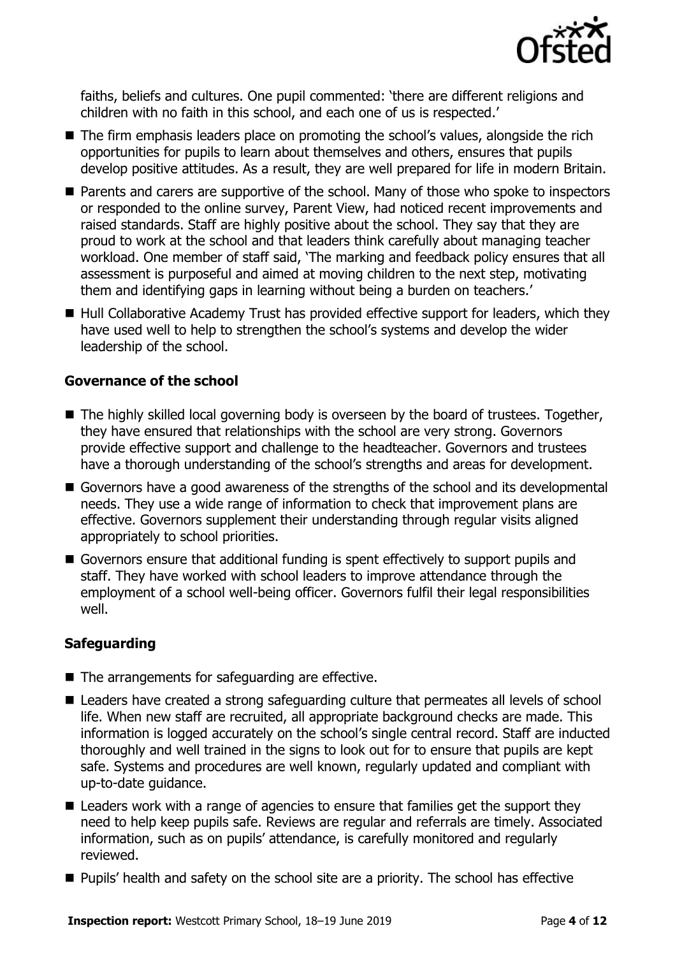

faiths, beliefs and cultures. One pupil commented: 'there are different religions and children with no faith in this school, and each one of us is respected.'

- The firm emphasis leaders place on promoting the school's values, alongside the rich opportunities for pupils to learn about themselves and others, ensures that pupils develop positive attitudes. As a result, they are well prepared for life in modern Britain.
- Parents and carers are supportive of the school. Many of those who spoke to inspectors or responded to the online survey, Parent View, had noticed recent improvements and raised standards. Staff are highly positive about the school. They say that they are proud to work at the school and that leaders think carefully about managing teacher workload. One member of staff said, 'The marking and feedback policy ensures that all assessment is purposeful and aimed at moving children to the next step, motivating them and identifying gaps in learning without being a burden on teachers.'
- Hull Collaborative Academy Trust has provided effective support for leaders, which they have used well to help to strengthen the school's systems and develop the wider leadership of the school.

#### **Governance of the school**

- The highly skilled local governing body is overseen by the board of trustees. Together, they have ensured that relationships with the school are very strong. Governors provide effective support and challenge to the headteacher. Governors and trustees have a thorough understanding of the school's strengths and areas for development.
- Governors have a good awareness of the strengths of the school and its developmental needs. They use a wide range of information to check that improvement plans are effective. Governors supplement their understanding through regular visits aligned appropriately to school priorities.
- Governors ensure that additional funding is spent effectively to support pupils and staff. They have worked with school leaders to improve attendance through the employment of a school well-being officer. Governors fulfil their legal responsibilities well.

### **Safeguarding**

- $\blacksquare$  The arrangements for safeguarding are effective.
- Leaders have created a strong safeguarding culture that permeates all levels of school life. When new staff are recruited, all appropriate background checks are made. This information is logged accurately on the school's single central record. Staff are inducted thoroughly and well trained in the signs to look out for to ensure that pupils are kept safe. Systems and procedures are well known, regularly updated and compliant with up-to-date guidance.
- Leaders work with a range of agencies to ensure that families get the support they need to help keep pupils safe. Reviews are regular and referrals are timely. Associated information, such as on pupils' attendance, is carefully monitored and regularly reviewed.
- **Pupils' health and safety on the school site are a priority. The school has effective**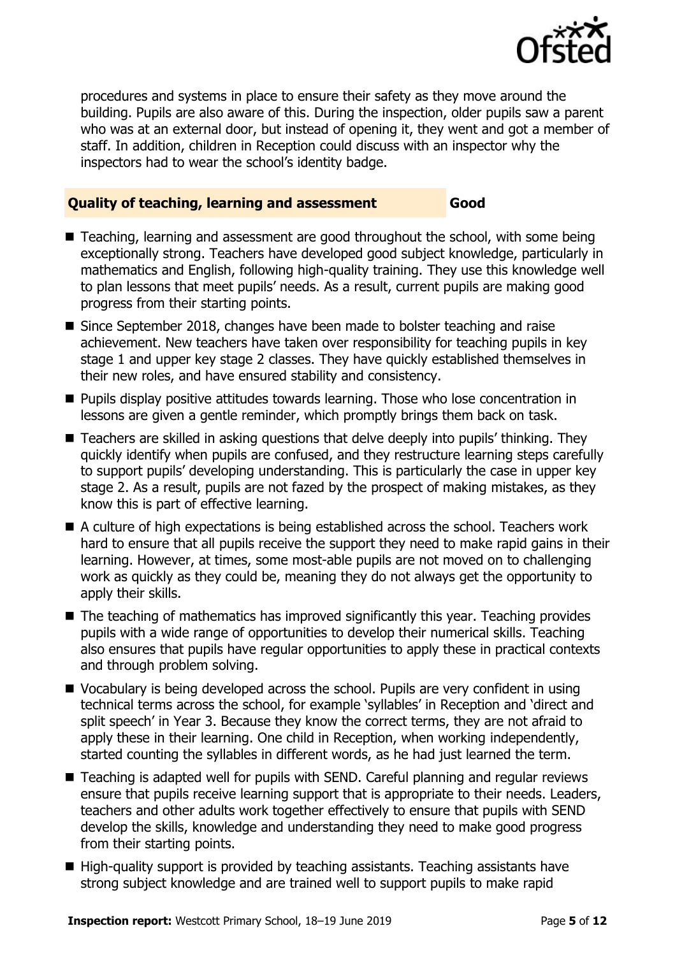

procedures and systems in place to ensure their safety as they move around the building. Pupils are also aware of this. During the inspection, older pupils saw a parent who was at an external door, but instead of opening it, they went and got a member of staff. In addition, children in Reception could discuss with an inspector why the inspectors had to wear the school's identity badge.

#### **Quality of teaching, learning and assessment Good**

- Teaching, learning and assessment are good throughout the school, with some being exceptionally strong. Teachers have developed good subject knowledge, particularly in mathematics and English, following high-quality training. They use this knowledge well to plan lessons that meet pupils' needs. As a result, current pupils are making good progress from their starting points.
- Since September 2018, changes have been made to bolster teaching and raise achievement. New teachers have taken over responsibility for teaching pupils in key stage 1 and upper key stage 2 classes. They have quickly established themselves in their new roles, and have ensured stability and consistency.
- Pupils display positive attitudes towards learning. Those who lose concentration in lessons are given a gentle reminder, which promptly brings them back on task.
- Teachers are skilled in asking questions that delve deeply into pupils' thinking. They quickly identify when pupils are confused, and they restructure learning steps carefully to support pupils' developing understanding. This is particularly the case in upper key stage 2. As a result, pupils are not fazed by the prospect of making mistakes, as they know this is part of effective learning.
- A culture of high expectations is being established across the school. Teachers work hard to ensure that all pupils receive the support they need to make rapid gains in their learning. However, at times, some most-able pupils are not moved on to challenging work as quickly as they could be, meaning they do not always get the opportunity to apply their skills.
- The teaching of mathematics has improved significantly this year. Teaching provides pupils with a wide range of opportunities to develop their numerical skills. Teaching also ensures that pupils have regular opportunities to apply these in practical contexts and through problem solving.
- Vocabulary is being developed across the school. Pupils are very confident in using technical terms across the school, for example 'syllables' in Reception and 'direct and split speech' in Year 3. Because they know the correct terms, they are not afraid to apply these in their learning. One child in Reception, when working independently, started counting the syllables in different words, as he had just learned the term.
- Teaching is adapted well for pupils with SEND. Careful planning and regular reviews ensure that pupils receive learning support that is appropriate to their needs. Leaders, teachers and other adults work together effectively to ensure that pupils with SEND develop the skills, knowledge and understanding they need to make good progress from their starting points.
- High-quality support is provided by teaching assistants. Teaching assistants have strong subject knowledge and are trained well to support pupils to make rapid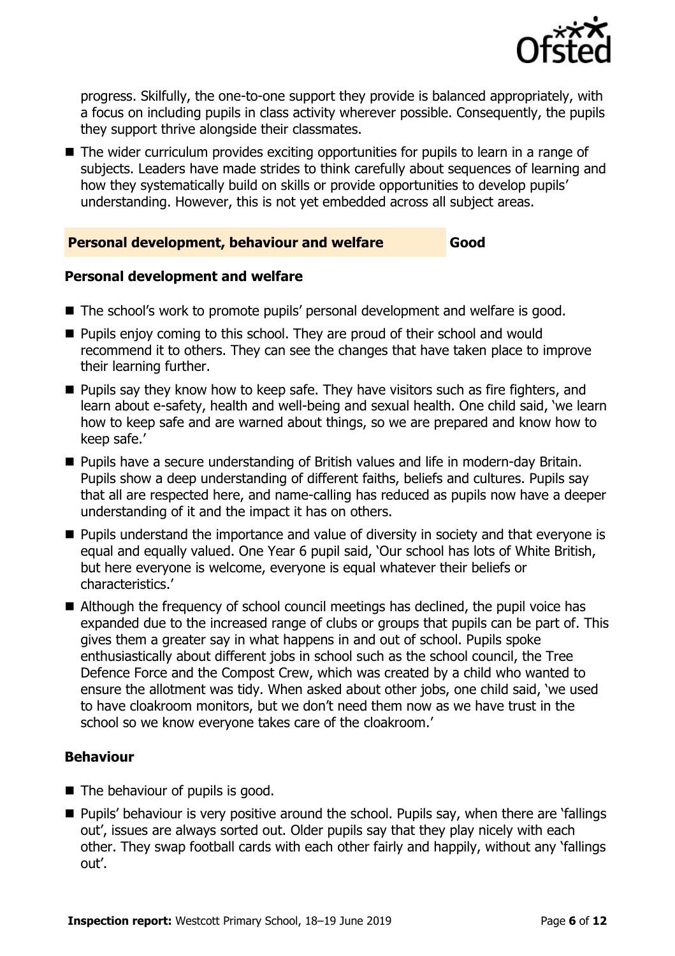

progress. Skilfully, the one-to-one support they provide is balanced appropriately, with a focus on including pupils in class activity wherever possible. Consequently, the pupils they support thrive alongside their classmates.

■ The wider curriculum provides exciting opportunities for pupils to learn in a range of subjects. Leaders have made strides to think carefully about sequences of learning and how they systematically build on skills or provide opportunities to develop pupils' understanding. However, this is not yet embedded across all subject areas.

#### **Personal development, behaviour and welfare Good**

#### **Personal development and welfare**

- The school's work to promote pupils' personal development and welfare is good.
- **Pupils enjoy coming to this school. They are proud of their school and would** recommend it to others. They can see the changes that have taken place to improve their learning further.
- $\blacksquare$  Pupils say they know how to keep safe. They have visitors such as fire fighters, and learn about e-safety, health and well-being and sexual health. One child said, 'we learn how to keep safe and are warned about things, so we are prepared and know how to keep safe.'
- Pupils have a secure understanding of British values and life in modern-day Britain. Pupils show a deep understanding of different faiths, beliefs and cultures. Pupils say that all are respected here, and name-calling has reduced as pupils now have a deeper understanding of it and the impact it has on others.
- **Pupils understand the importance and value of diversity in society and that everyone is** equal and equally valued. One Year 6 pupil said, 'Our school has lots of White British, but here everyone is welcome, everyone is equal whatever their beliefs or characteristics.'
- Although the frequency of school council meetings has declined, the pupil voice has expanded due to the increased range of clubs or groups that pupils can be part of. This gives them a greater say in what happens in and out of school. Pupils spoke enthusiastically about different jobs in school such as the school council, the Tree Defence Force and the Compost Crew, which was created by a child who wanted to ensure the allotment was tidy. When asked about other jobs, one child said, 'we used to have cloakroom monitors, but we don't need them now as we have trust in the school so we know everyone takes care of the cloakroom.'

#### **Behaviour**

- The behaviour of pupils is good.
- **Pupils' behaviour is very positive around the school. Pupils say, when there are 'fallings'** out', issues are always sorted out. Older pupils say that they play nicely with each other. They swap football cards with each other fairly and happily, without any 'fallings out'.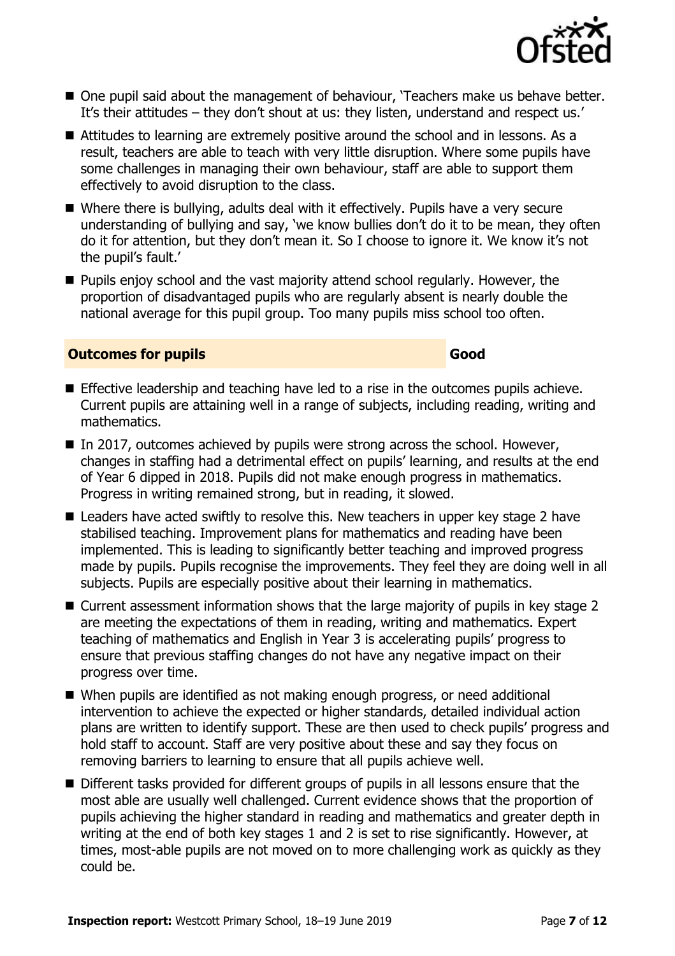

- One pupil said about the management of behaviour, 'Teachers make us behave better. It's their attitudes – they don't shout at us: they listen, understand and respect us.'
- Attitudes to learning are extremely positive around the school and in lessons. As a result, teachers are able to teach with very little disruption. Where some pupils have some challenges in managing their own behaviour, staff are able to support them effectively to avoid disruption to the class.
- Where there is bullying, adults deal with it effectively. Pupils have a very secure understanding of bullying and say, 'we know bullies don't do it to be mean, they often do it for attention, but they don't mean it. So I choose to ignore it. We know it's not the pupil's fault.'
- **Pupils enjoy school and the vast majority attend school regularly. However, the** proportion of disadvantaged pupils who are regularly absent is nearly double the national average for this pupil group. Too many pupils miss school too often.

#### **Outcomes for pupils Good**

- Effective leadership and teaching have led to a rise in the outcomes pupils achieve. Current pupils are attaining well in a range of subjects, including reading, writing and mathematics.
- In 2017, outcomes achieved by pupils were strong across the school. However, changes in staffing had a detrimental effect on pupils' learning, and results at the end of Year 6 dipped in 2018. Pupils did not make enough progress in mathematics. Progress in writing remained strong, but in reading, it slowed.
- Leaders have acted swiftly to resolve this. New teachers in upper key stage 2 have stabilised teaching. Improvement plans for mathematics and reading have been implemented. This is leading to significantly better teaching and improved progress made by pupils. Pupils recognise the improvements. They feel they are doing well in all subjects. Pupils are especially positive about their learning in mathematics.
- Current assessment information shows that the large majority of pupils in key stage 2 are meeting the expectations of them in reading, writing and mathematics. Expert teaching of mathematics and English in Year 3 is accelerating pupils' progress to ensure that previous staffing changes do not have any negative impact on their progress over time.
- When pupils are identified as not making enough progress, or need additional intervention to achieve the expected or higher standards, detailed individual action plans are written to identify support. These are then used to check pupils' progress and hold staff to account. Staff are very positive about these and say they focus on removing barriers to learning to ensure that all pupils achieve well.
- Different tasks provided for different groups of pupils in all lessons ensure that the most able are usually well challenged. Current evidence shows that the proportion of pupils achieving the higher standard in reading and mathematics and greater depth in writing at the end of both key stages 1 and 2 is set to rise significantly. However, at times, most-able pupils are not moved on to more challenging work as quickly as they could be.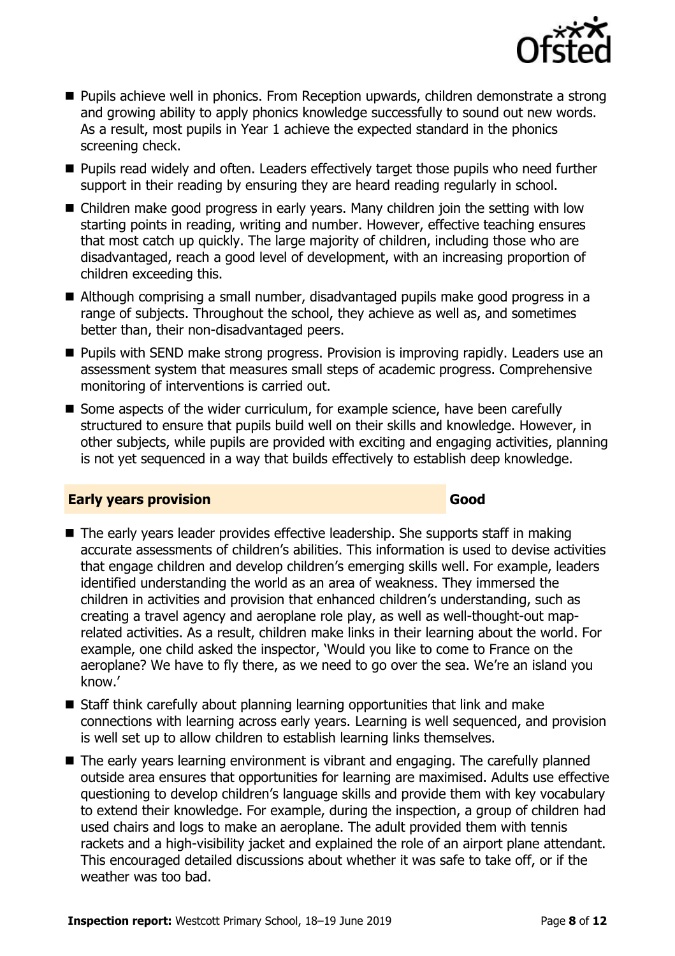

- Pupils achieve well in phonics. From Reception upwards, children demonstrate a strong and growing ability to apply phonics knowledge successfully to sound out new words. As a result, most pupils in Year 1 achieve the expected standard in the phonics screening check.
- **Pupils read widely and often. Leaders effectively target those pupils who need further** support in their reading by ensuring they are heard reading regularly in school.
- Children make good progress in early years. Many children join the setting with low starting points in reading, writing and number. However, effective teaching ensures that most catch up quickly. The large majority of children, including those who are disadvantaged, reach a good level of development, with an increasing proportion of children exceeding this.
- Although comprising a small number, disadvantaged pupils make good progress in a range of subjects. Throughout the school, they achieve as well as, and sometimes better than, their non-disadvantaged peers.
- **Pupils with SEND make strong progress. Provision is improving rapidly. Leaders use an** assessment system that measures small steps of academic progress. Comprehensive monitoring of interventions is carried out.
- Some aspects of the wider curriculum, for example science, have been carefully structured to ensure that pupils build well on their skills and knowledge. However, in other subjects, while pupils are provided with exciting and engaging activities, planning is not yet sequenced in a way that builds effectively to establish deep knowledge.

#### **Early years provision Good Good**

- The early years leader provides effective leadership. She supports staff in making accurate assessments of children's abilities. This information is used to devise activities that engage children and develop children's emerging skills well. For example, leaders identified understanding the world as an area of weakness. They immersed the children in activities and provision that enhanced children's understanding, such as creating a travel agency and aeroplane role play, as well as well-thought-out maprelated activities. As a result, children make links in their learning about the world. For example, one child asked the inspector, 'Would you like to come to France on the aeroplane? We have to fly there, as we need to go over the sea. We're an island you know.'
- Staff think carefully about planning learning opportunities that link and make connections with learning across early years. Learning is well sequenced, and provision is well set up to allow children to establish learning links themselves.
- The early years learning environment is vibrant and engaging. The carefully planned outside area ensures that opportunities for learning are maximised. Adults use effective questioning to develop children's language skills and provide them with key vocabulary to extend their knowledge. For example, during the inspection, a group of children had used chairs and logs to make an aeroplane. The adult provided them with tennis rackets and a high-visibility jacket and explained the role of an airport plane attendant. This encouraged detailed discussions about whether it was safe to take off, or if the weather was too bad.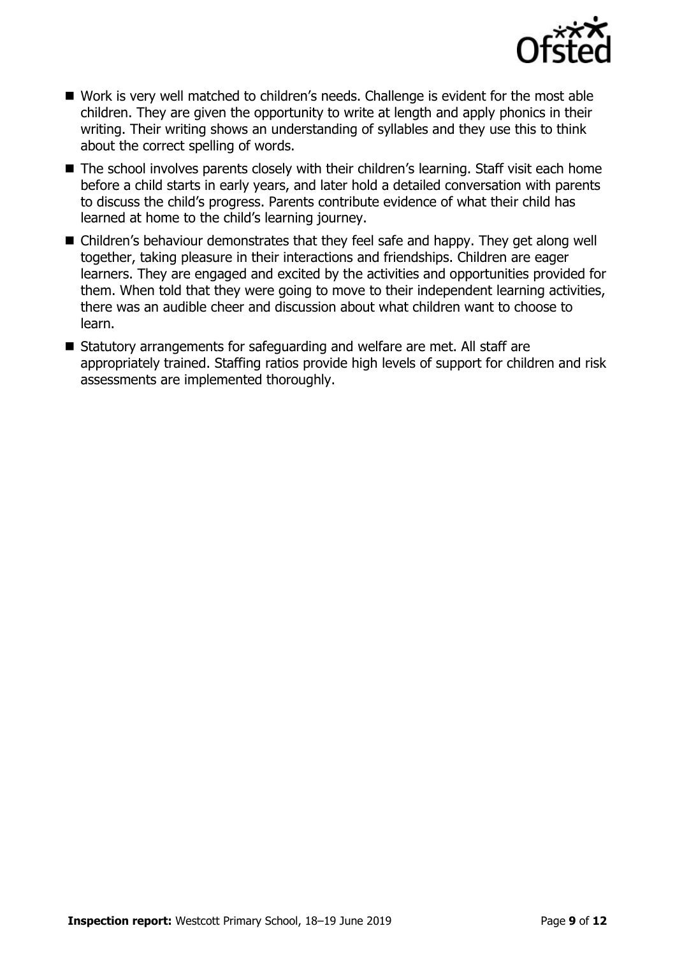

- Work is very well matched to children's needs. Challenge is evident for the most able children. They are given the opportunity to write at length and apply phonics in their writing. Their writing shows an understanding of syllables and they use this to think about the correct spelling of words.
- The school involves parents closely with their children's learning. Staff visit each home before a child starts in early years, and later hold a detailed conversation with parents to discuss the child's progress. Parents contribute evidence of what their child has learned at home to the child's learning journey.
- Children's behaviour demonstrates that they feel safe and happy. They get along well together, taking pleasure in their interactions and friendships. Children are eager learners. They are engaged and excited by the activities and opportunities provided for them. When told that they were going to move to their independent learning activities, there was an audible cheer and discussion about what children want to choose to learn.
- Statutory arrangements for safeguarding and welfare are met. All staff are appropriately trained. Staffing ratios provide high levels of support for children and risk assessments are implemented thoroughly.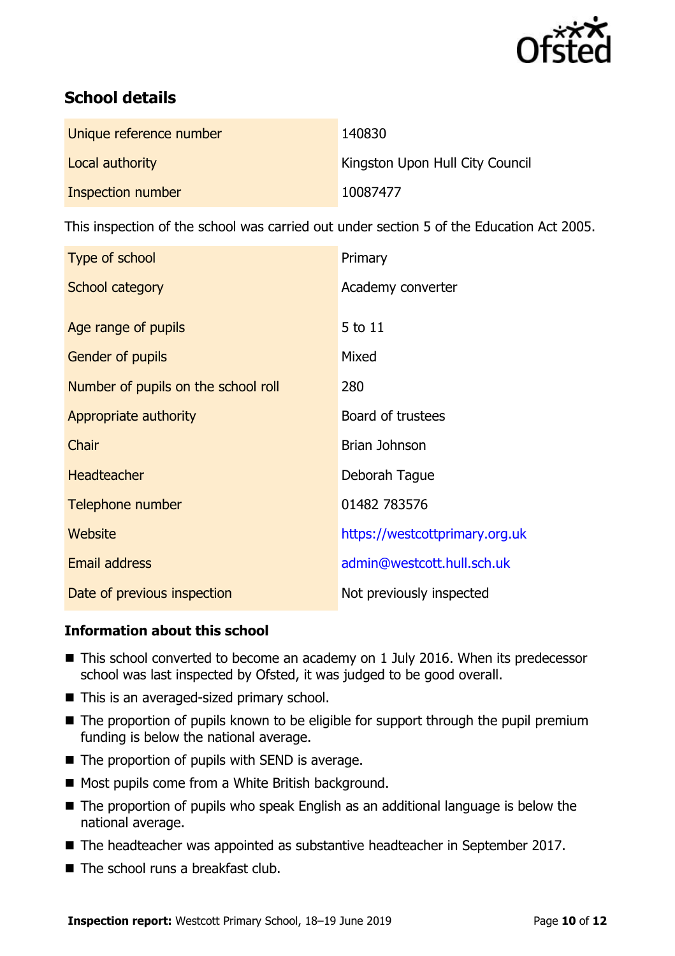

# **School details**

| Unique reference number | 140830                          |
|-------------------------|---------------------------------|
| Local authority         | Kingston Upon Hull City Council |
| Inspection number       | 10087477                        |

This inspection of the school was carried out under section 5 of the Education Act 2005.

| Type of school                      | Primary                        |  |
|-------------------------------------|--------------------------------|--|
| School category                     | Academy converter              |  |
|                                     |                                |  |
| Age range of pupils                 | 5 to 11                        |  |
| Gender of pupils                    | Mixed                          |  |
| Number of pupils on the school roll | 280                            |  |
| Appropriate authority               | Board of trustees              |  |
| Chair                               | Brian Johnson                  |  |
| <b>Headteacher</b>                  | Deborah Tague                  |  |
| Telephone number                    | 01482 783576                   |  |
| <b>Website</b>                      | https://westcottprimary.org.uk |  |
| <b>Email address</b>                | admin@westcott.hull.sch.uk     |  |
| Date of previous inspection         | Not previously inspected       |  |

### **Information about this school**

- This school converted to become an academy on 1 July 2016. When its predecessor school was last inspected by Ofsted, it was judged to be good overall.
- This is an averaged-sized primary school.
- The proportion of pupils known to be eligible for support through the pupil premium funding is below the national average.
- $\blacksquare$  The proportion of pupils with SEND is average.
- Most pupils come from a White British background.
- The proportion of pupils who speak English as an additional language is below the national average.
- The headteacher was appointed as substantive headteacher in September 2017.
- $\blacksquare$  The school runs a breakfast club.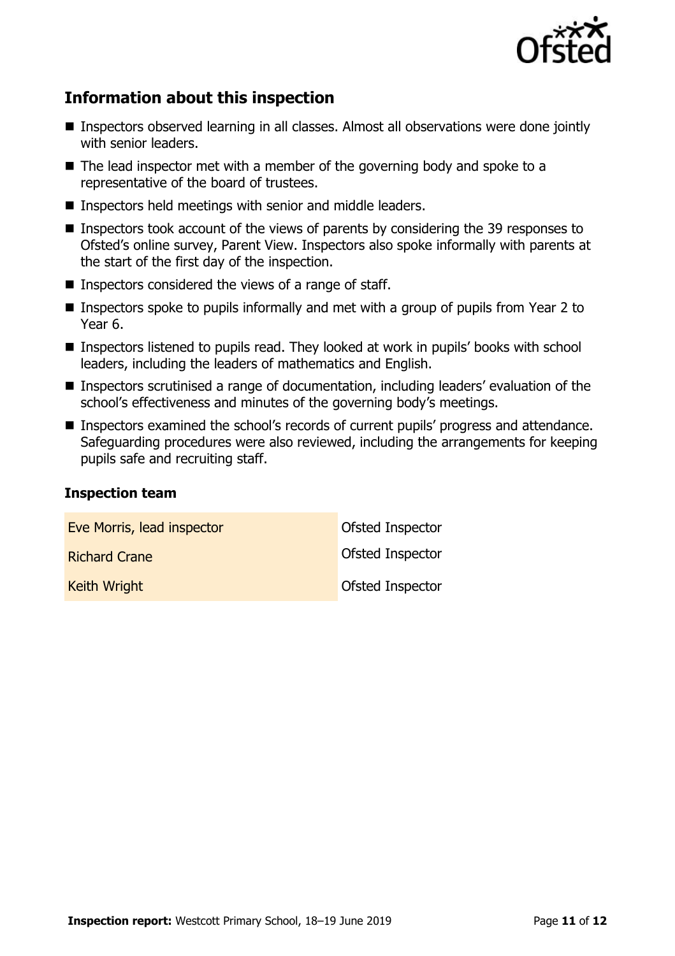

# **Information about this inspection**

- Inspectors observed learning in all classes. Almost all observations were done jointly with senior leaders.
- $\blacksquare$  The lead inspector met with a member of the governing body and spoke to a representative of the board of trustees.
- **Inspectors held meetings with senior and middle leaders.**
- Inspectors took account of the views of parents by considering the 39 responses to Ofsted's online survey, Parent View. Inspectors also spoke informally with parents at the start of the first day of the inspection.
- Inspectors considered the views of a range of staff.
- Inspectors spoke to pupils informally and met with a group of pupils from Year 2 to Year 6.
- Inspectors listened to pupils read. They looked at work in pupils' books with school leaders, including the leaders of mathematics and English.
- Inspectors scrutinised a range of documentation, including leaders' evaluation of the school's effectiveness and minutes of the governing body's meetings.
- Inspectors examined the school's records of current pupils' progress and attendance. Safeguarding procedures were also reviewed, including the arrangements for keeping pupils safe and recruiting staff.

#### **Inspection team**

| Eve Morris, lead inspector | Ofsted Inspector        |
|----------------------------|-------------------------|
| <b>Richard Crane</b>       | <b>Ofsted Inspector</b> |
| Keith Wright               | <b>Ofsted Inspector</b> |